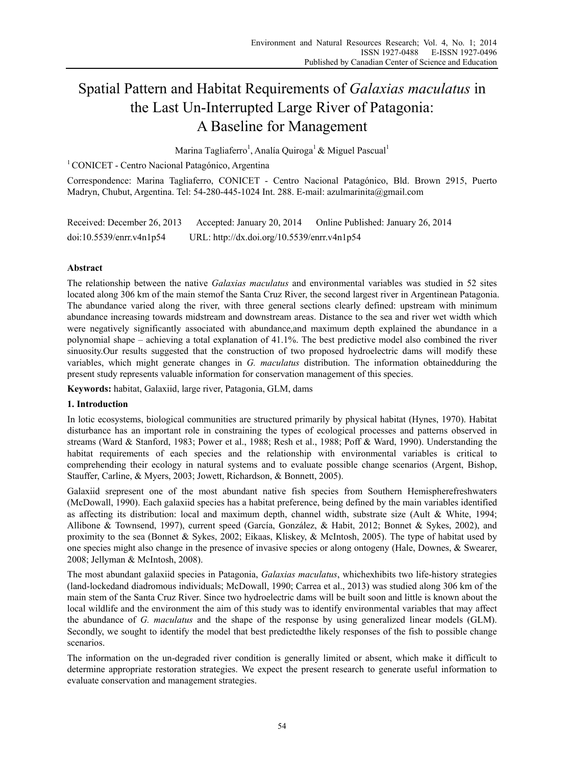# Spatial Pattern and Habitat Requirements of *Galaxias maculatus* in the Last Un-Interrupted Large River of Patagonia: A Baseline for Management

Marina Tagliaferro<sup>1</sup>, Analía Quiroga<sup>1</sup> & Miguel Pascual<sup>1</sup>

<sup>1</sup> CONICET - Centro Nacional Patagónico, Argentina

Correspondence: Marina Tagliaferro, CONICET - Centro Nacional Patagónico, Bld. Brown 2915, Puerto Madryn, Chubut, Argentina. Tel: 54-280-445-1024 Int. 288. E-mail: azulmarinita@gmail.com

| Received: December 26, 2013 | Accepted: January 20, 2014                  | Online Published: January 26, 2014 |
|-----------------------------|---------------------------------------------|------------------------------------|
| doi:10.5539/enrr.v4n1p54    | URL: http://dx.doi.org/10.5539/enrr.v4n1p54 |                                    |

# **Abstract**

The relationship between the native *Galaxias maculatus* and environmental variables was studied in 52 sites located along 306 km of the main stemof the Santa Cruz River, the second largest river in Argentinean Patagonia. The abundance varied along the river, with three general sections clearly defined: upstream with minimum abundance increasing towards midstream and downstream areas. Distance to the sea and river wet width which were negatively significantly associated with abundance,and maximum depth explained the abundance in a polynomial shape – achieving a total explanation of 41.1%. The best predictive model also combined the river sinuosity.Our results suggested that the construction of two proposed hydroelectric dams will modify these variables, which might generate changes in *G. maculatus* distribution. The information obtainedduring the present study represents valuable information for conservation management of this species.

**Keywords:** habitat, Galaxiid, large river, Patagonia, GLM, dams

# **1. Introduction**

In lotic ecosystems, biological communities are structured primarily by physical habitat (Hynes, 1970). Habitat disturbance has an important role in constraining the types of ecological processes and patterns observed in streams (Ward & Stanford, 1983; Power et al., 1988; Resh et al., 1988; Poff & Ward, 1990). Understanding the habitat requirements of each species and the relationship with environmental variables is critical to comprehending their ecology in natural systems and to evaluate possible change scenarios (Argent, Bishop, Stauffer, Carline, & Myers, 2003; Jowett, Richardson, & Bonnett, 2005).

Galaxiid srepresent one of the most abundant native fish species from Southern Hemispherefreshwaters (McDowall, 1990). Each galaxiid species has a habitat preference, being defined by the main variables identified as affecting its distribution: local and maximum depth, channel width, substrate size (Ault & White, 1994; Allibone & Townsend, 1997), current speed (García, González, & Habit, 2012; Bonnet & Sykes, 2002), and proximity to the sea (Bonnet & Sykes, 2002; Eikaas, Kliskey, & McIntosh, 2005). The type of habitat used by one species might also change in the presence of invasive species or along ontogeny (Hale, Downes, & Swearer, 2008; Jellyman & McIntosh, 2008).

The most abundant galaxiid species in Patagonia, *Galaxias maculatus*, whichexhibits two life-history strategies (land-lockedand diadromous individuals; McDowall, 1990; Carrea et al., 2013) was studied along 306 km of the main stem of the Santa Cruz River. Since two hydroelectric dams will be built soon and little is known about the local wildlife and the environment the aim of this study was to identify environmental variables that may affect the abundance of *G. maculatus* and the shape of the response by using generalized linear models (GLM). Secondly, we sought to identify the model that best predictedthe likely responses of the fish to possible change scenarios.

The information on the un-degraded river condition is generally limited or absent, which make it difficult to determine appropriate restoration strategies. We expect the present research to generate useful information to evaluate conservation and management strategies.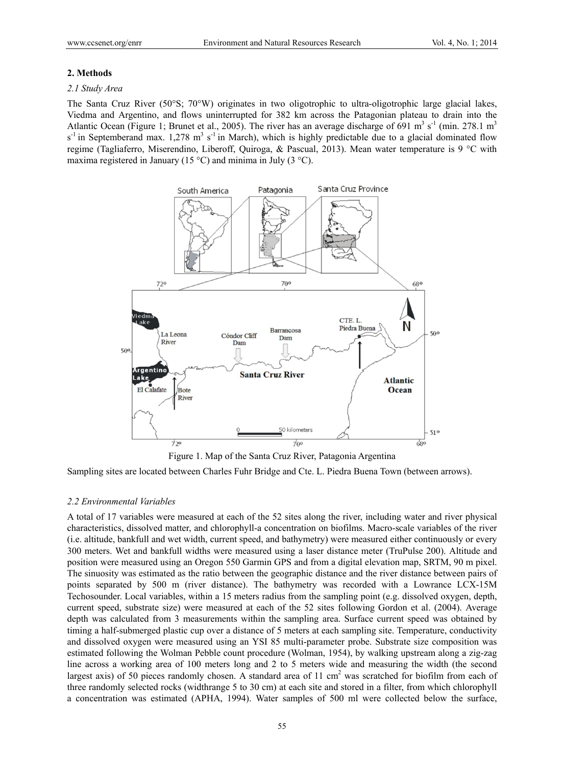#### **2. Methods**

#### *2.1 Study Area*

The Santa Cruz River (50°S; 70°W) originates in two oligotrophic to ultra-oligotrophic large glacial lakes, Viedma and Argentino, and flows uninterrupted for 382 km across the Patagonian plateau to drain into the Atlantic Ocean (Figure 1; Brunet et al., 2005). The river has an average discharge of 691 m<sup>3</sup> s<sup>-1</sup> (min. 278.1 m<sup>3</sup>  $s^{-1}$  in Septemberand max. 1,278 m<sup>3</sup> s<sup>-1</sup> in March), which is highly predictable due to a glacial dominated flow regime (Tagliaferro, Miserendino, Liberoff, Quiroga, & Pascual, 2013). Mean water temperature is 9 °C with maxima registered in January (15 °C) and minima in July (3 °C).



Figure 1. Map of the Santa Cruz River, Patagonia Argentina

Sampling sites are located between Charles Fuhr Bridge and Cte. L. Piedra Buena Town (between arrows).

#### *2.2 Environmental Variables*

A total of 17 variables were measured at each of the 52 sites along the river, including water and river physical characteristics, dissolved matter, and chlorophyll-a concentration on biofilms. Macro-scale variables of the river (i.e. altitude, bankfull and wet width, current speed, and bathymetry) were measured either continuously or every 300 meters. Wet and bankfull widths were measured using a laser distance meter (TruPulse 200). Altitude and position were measured using an Oregon 550 Garmin GPS and from a digital elevation map, SRTM, 90 m pixel. The sinuosity was estimated as the ratio between the geographic distance and the river distance between pairs of points separated by 500 m (river distance). The bathymetry was recorded with a Lowrance LCX-15M Techosounder. Local variables, within a 15 meters radius from the sampling point (e.g. dissolved oxygen, depth, current speed, substrate size) were measured at each of the 52 sites following Gordon et al. (2004). Average depth was calculated from 3 measurements within the sampling area. Surface current speed was obtained by timing a half-submerged plastic cup over a distance of 5 meters at each sampling site. Temperature, conductivity and dissolved oxygen were measured using an YSI 85 multi-parameter probe. Substrate size composition was estimated following the Wolman Pebble count procedure (Wolman, 1954), by walking upstream along a zig-zag line across a working area of 100 meters long and 2 to 5 meters wide and measuring the width (the second largest axis) of 50 pieces randomly chosen. A standard area of 11 cm<sup>2</sup> was scratched for biofilm from each of three randomly selected rocks (widthrange 5 to 30 cm) at each site and stored in a filter, from which chlorophyll a concentration was estimated (APHA, 1994). Water samples of 500 ml were collected below the surface,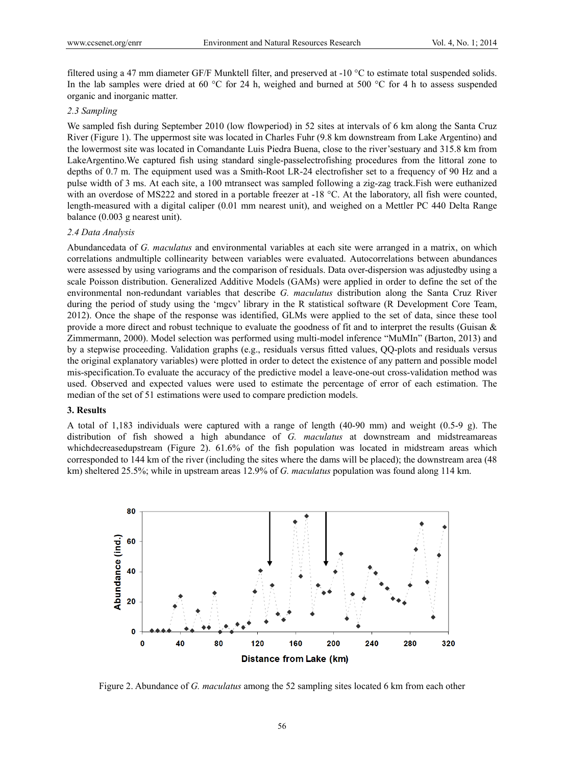filtered using a 47 mm diameter GF/F Munktell filter, and preserved at -10 °C to estimate total suspended solids. In the lab samples were dried at 60 °C for 24 h, weighed and burned at 500 °C for 4 h to assess suspended organic and inorganic matter.

## *2.3 Sampling*

We sampled fish during September 2010 (low flowperiod) in 52 sites at intervals of 6 km along the Santa Cruz River (Figure 1). The uppermost site was located in Charles Fuhr (9.8 km downstream from Lake Argentino) and the lowermost site was located in Comandante Luis Piedra Buena, close to the river'sestuary and 315.8 km from LakeArgentino.We captured fish using standard single-passelectrofishing procedures from the littoral zone to depths of 0.7 m. The equipment used was a Smith-Root LR-24 electrofisher set to a frequency of 90 Hz and a pulse width of 3 ms. At each site, a 100 mtransect was sampled following a zig-zag track.Fish were euthanized with an overdose of MS222 and stored in a portable freezer at -18 °C. At the laboratory, all fish were counted, length-measured with a digital caliper (0.01 mm nearest unit), and weighed on a Mettler PC 440 Delta Range balance (0.003 g nearest unit).

#### *2.4 Data Analysis*

Abundancedata of *G. maculatus* and environmental variables at each site were arranged in a matrix, on which correlations andmultiple collinearity between variables were evaluated. Autocorrelations between abundances were assessed by using variograms and the comparison of residuals. Data over-dispersion was adjustedby using a scale Poisson distribution. Generalized Additive Models (GAMs) were applied in order to define the set of the environmental non-redundant variables that describe *G. maculatus* distribution along the Santa Cruz River during the period of study using the 'mgcv' library in the R statistical software (R Development Core Team, 2012). Once the shape of the response was identified, GLMs were applied to the set of data, since these tool provide a more direct and robust technique to evaluate the goodness of fit and to interpret the results (Guisan & Zimmermann, 2000). Model selection was performed using multi-model inference "MuMIn" (Barton, 2013) and by a stepwise proceeding. Validation graphs (e.g., residuals versus fitted values, QQ-plots and residuals versus the original explanatory variables) were plotted in order to detect the existence of any pattern and possible model mis-specification.To evaluate the accuracy of the predictive model a leave-one-out cross-validation method was used. Observed and expected values were used to estimate the percentage of error of each estimation. The median of the set of 51 estimations were used to compare prediction models.

#### **3. Results**

A total of 1,183 individuals were captured with a range of length (40-90 mm) and weight (0.5-9 g). The distribution of fish showed a high abundance of *G. maculatus* at downstream and midstreamareas whichdecreasedupstream (Figure 2). 61.6% of the fish population was located in midstream areas which corresponded to 144 km of the river (including the sites where the dams will be placed); the downstream area (48 km) sheltered 25.5%; while in upstream areas 12.9% of *G. maculatus* population was found along 114 km.



Figure 2. Abundance of *G. maculatus* among the 52 sampling sites located 6 km from each other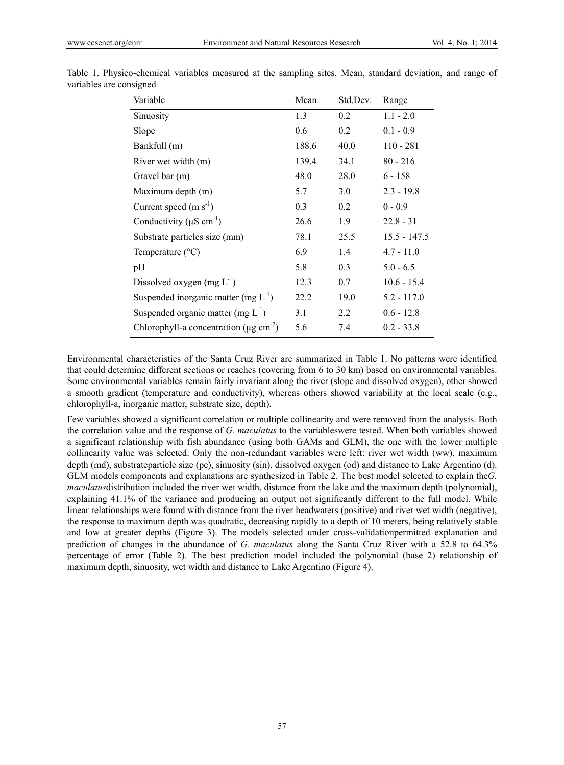| Variable                                                 | Mean  | Std.Dev. | Range          |
|----------------------------------------------------------|-------|----------|----------------|
| Sinuosity                                                | 1.3   | 0.2      | $1.1 - 2.0$    |
| Slope                                                    | 0.6   | 0.2      | $0.1 - 0.9$    |
| Bankfull (m)                                             | 188.6 | 40.0     | $110 - 281$    |
| River wet width (m)                                      | 139.4 | 34.1     | $80 - 216$     |
| Gravel bar (m)                                           | 48.0  | 28.0     | $6 - 158$      |
| Maximum depth (m)                                        | 5.7   | 3.0      | $2.3 - 19.8$   |
| Current speed $(m s-1)$                                  | 0.3   | 0.2      | $0 - 0.9$      |
| Conductivity ( $\mu$ S cm <sup>-1</sup> )                | 26.6  | 1.9      | $22.8 - 31$    |
| Substrate particles size (mm)                            | 78.1  | 25.5     | $15.5 - 147.5$ |
| Temperature $(^{\circ}C)$                                | 6.9   | 1.4      | $4.7 - 11.0$   |
| pH                                                       | 5.8   | 0.3      | $5.0 - 6.5$    |
| Dissolved oxygen $(mg L^{-1})$                           | 12.3  | 0.7      | $10.6 - 15.4$  |
| Suspended inorganic matter (mg $L^{-1}$ )                | 22.2  | 19.0     | $5.2 - 117.0$  |
| Suspended organic matter (mg $L^{-1}$ )                  | 3.1   | 2.2      | $0.6 - 12.8$   |
| Chlorophyll-a concentration ( $\mu$ g cm <sup>-2</sup> ) | 5.6   | 7.4      | $0.2 - 33.8$   |

Table 1. Physico-chemical variables measured at the sampling sites. Mean, standard deviation, and range of variables are consigned

Environmental characteristics of the Santa Cruz River are summarized in Table 1. No patterns were identified that could determine different sections or reaches (covering from 6 to 30 km) based on environmental variables. Some environmental variables remain fairly invariant along the river (slope and dissolved oxygen), other showed a smooth gradient (temperature and conductivity), whereas others showed variability at the local scale (e.g., chlorophyll-a, inorganic matter, substrate size, depth).

Few variables showed a significant correlation or multiple collinearity and were removed from the analysis. Both the correlation value and the response of *G. maculatus* to the variableswere tested. When both variables showed a significant relationship with fish abundance (using both GAMs and GLM), the one with the lower multiple collinearity value was selected. Only the non-redundant variables were left: river wet width (ww), maximum depth (md), substrateparticle size (pe), sinuosity (sin), dissolved oxygen (od) and distance to Lake Argentino (d). GLM models components and explanations are synthesized in Table 2. The best model selected to explain the*G. maculatus*distribution included the river wet width, distance from the lake and the maximum depth (polynomial), explaining 41.1% of the variance and producing an output not significantly different to the full model. While linear relationships were found with distance from the river headwaters (positive) and river wet width (negative), the response to maximum depth was quadratic, decreasing rapidly to a depth of 10 meters, being relatively stable and low at greater depths (Figure 3). The models selected under cross-validationpermitted explanation and prediction of changes in the abundance of *G. maculatus* along the Santa Cruz River with a 52.8 to 64.3% percentage of error (Table 2). The best prediction model included the polynomial (base 2) relationship of maximum depth, sinuosity, wet width and distance to Lake Argentino (Figure 4).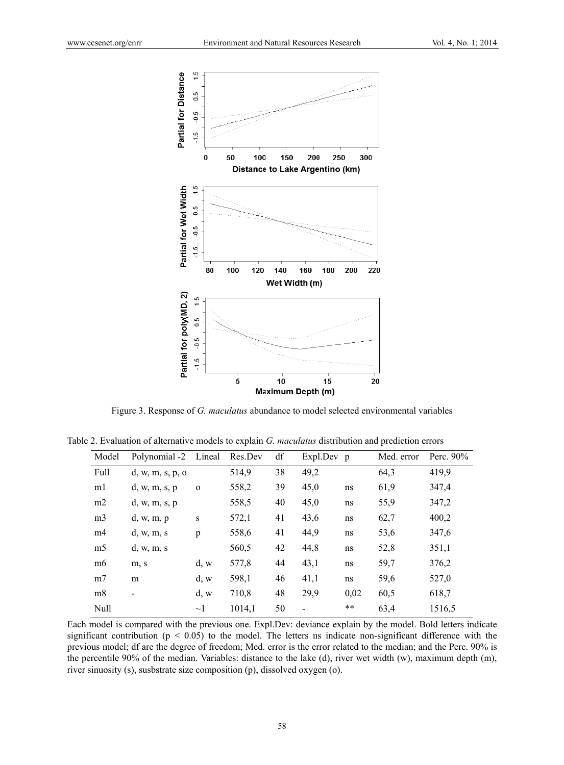

Figure 3. Response of G. maculatus abundance to model selected environmental variables

|                |                      |             | л.      |    |                          |      | л.         |              |
|----------------|----------------------|-------------|---------|----|--------------------------|------|------------|--------------|
| Model          | Polynomial -2 Lineal |             | Res.Dev | df | Expl.Dev p               |      | Med. error | Perc. $90\%$ |
| Full           | d, w, m, s, p, o     |             | 514,9   | 38 | 49,2                     |      | 64,3       | 419,9        |
| m1             | d, w, m, s, p        | $\mathbf 0$ | 558,2   | 39 | 45,0                     | ns   | 61,9       | 347,4        |
| m2             | d, w, m, s, p        |             | 558,5   | 40 | 45,0                     | ns   | 55,9       | 347,2        |
| m <sub>3</sub> | d, w, m, p           | $\bf S$     | 572,1   | 41 | 43,6                     | ns   | 62,7       | 400,2        |
| m <sub>4</sub> | d, w, m, s           | p           | 558,6   | 41 | 44,9                     | ns   | 53,6       | 347,6        |
| m <sub>5</sub> | d, w, m, s           |             | 560,5   | 42 | 44,8                     | ns   | 52,8       | 351,1        |
| m <sub>6</sub> | m, s                 | $d_{\rm w}$ | 577,8   | 44 | 43,1                     | ns   | 59,7       | 376,2        |
| m <sub>7</sub> | m                    | d, w        | 598,1   | 46 | 41,1                     | ns   | 59,6       | 527,0        |
| m8             | -                    | d, w        | 710,8   | 48 | 29,9                     | 0,02 | 60,5       | 618,7        |
| Null           |                      | $\sim$ 1    | 1014,1  | 50 | $\overline{\phantom{0}}$ | **   | 63,4       | 1516,5       |
|                |                      |             |         |    |                          |      |            |              |

Table 2. Evaluation of alternative models to explain G. maculatus distribution and prediction errors

Each model is compared with the previous one. Expl.Dev: deviance explain by the model. Bold letters indicate significant contribution ( $p < 0.05$ ) to the model. The letters ns indicate non-significant difference with the previous model; df are the degree of freedom; Med. error is the error related to the median; and the Perc. 90% is the percentile 90% of the median. Variables: distance to the lake (d), river wet width (w), maximum depth (m), river sinuosity (s), susbstrate size composition (p), dissolved oxygen (o).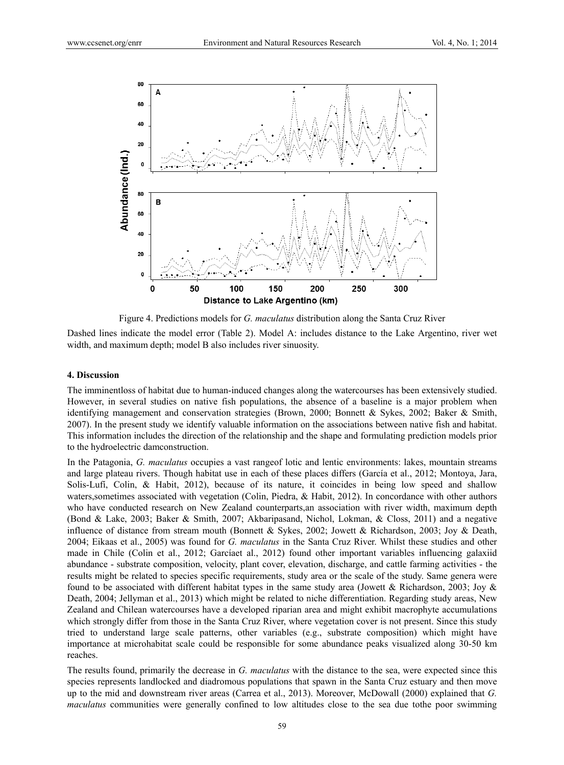

Figure 4. Predictions models for *G. maculatus* distribution along the Santa Cruz River

Dashed lines indicate the model error (Table 2). Model A: includes distance to the Lake Argentino, river wet width, and maximum depth; model B also includes river sinuosity.

## **4. Discussion**

The imminentloss of habitat due to human-induced changes along the watercourses has been extensively studied. However, in several studies on native fish populations, the absence of a baseline is a major problem when identifying management and conservation strategies (Brown, 2000; Bonnett & Sykes, 2002; Baker & Smith, 2007). In the present study we identify valuable information on the associations between native fish and habitat. This information includes the direction of the relationship and the shape and formulating prediction models prior to the hydroelectric damconstruction.

In the Patagonia, *G. maculatus* occupies a vast rangeof lotic and lentic environments: lakes, mountain streams and large plateau rivers. Though habitat use in each of these places differs (García et al., 2012; Montoya, Jara, Solis-Lufí, Colin, & Habit, 2012), because of its nature, it coincides in being low speed and shallow waters, sometimes associated with vegetation (Colin, Piedra, & Habit, 2012). In concordance with other authors who have conducted research on New Zealand counterparts,an association with river width, maximum depth (Bond & Lake, 2003; Baker & Smith, 2007; Akbaripasand, Nichol, Lokman, & Closs, 2011) and a negative influence of distance from stream mouth (Bonnett & Sykes, 2002; Jowett & Richardson, 2003; Joy & Death, 2004; Eikaas et al., 2005) was found for *G. maculatus* in the Santa Cruz River. Whilst these studies and other made in Chile (Colin et al., 2012; Garcíaet al., 2012) found other important variables influencing galaxiid abundance - substrate composition, velocity, plant cover, elevation, discharge, and cattle farming activities - the results might be related to species specific requirements, study area or the scale of the study. Same genera were found to be associated with different habitat types in the same study area (Jowett & Richardson, 2003; Joy & Death, 2004; Jellyman et al., 2013) which might be related to niche differentiation. Regarding study areas, New Zealand and Chilean watercourses have a developed riparian area and might exhibit macrophyte accumulations which strongly differ from those in the Santa Cruz River, where vegetation cover is not present. Since this study tried to understand large scale patterns, other variables (e.g., substrate composition) which might have importance at microhabitat scale could be responsible for some abundance peaks visualized along 30-50 km reaches.

The results found, primarily the decrease in *G. maculatus* with the distance to the sea, were expected since this species represents landlocked and diadromous populations that spawn in the Santa Cruz estuary and then move up to the mid and downstream river areas (Carrea et al., 2013). Moreover, McDowall (2000) explained that *G. maculatus* communities were generally confined to low altitudes close to the sea due tothe poor swimming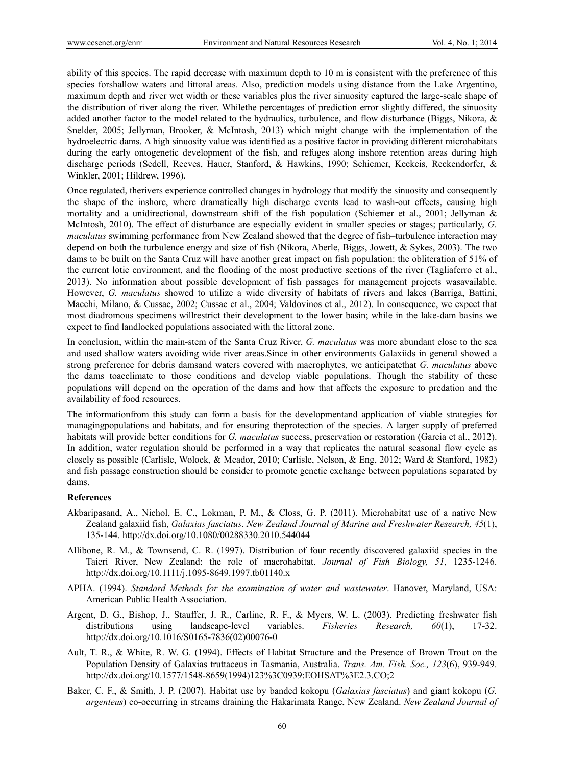ability of this species. The rapid decrease with maximum depth to 10 m is consistent with the preference of this species forshallow waters and littoral areas. Also, prediction models using distance from the Lake Argentino, maximum depth and river wet width or these variables plus the river sinuosity captured the large-scale shape of the distribution of river along the river. Whilethe percentages of prediction error slightly differed, the sinuosity added another factor to the model related to the hydraulics, turbulence, and flow disturbance (Biggs, Nikora, & Snelder, 2005; Jellyman, Brooker, & McIntosh, 2013) which might change with the implementation of the hydroelectric dams. A high sinuosity value was identified as a positive factor in providing different microhabitats during the early ontogenetic development of the fish, and refuges along inshore retention areas during high discharge periods (Sedell, Reeves, Hauer, Stanford, & Hawkins, 1990; Schiemer, Keckeis, Reckendorfer, & Winkler, 2001; Hildrew, 1996).

Once regulated, therivers experience controlled changes in hydrology that modify the sinuosity and consequently the shape of the inshore, where dramatically high discharge events lead to wash-out effects, causing high mortality and a unidirectional, downstream shift of the fish population (Schiemer et al., 2001; Jellyman & McIntosh, 2010). The effect of disturbance are especially evident in smaller species or stages; particularly, *G. maculatus* swimming performance from New Zealand showed that the degree of fish–turbulence interaction may depend on both the turbulence energy and size of fish (Nikora, Aberle, Biggs, Jowett, & Sykes, 2003). The two dams to be built on the Santa Cruz will have another great impact on fish population: the obliteration of 51% of the current lotic environment, and the flooding of the most productive sections of the river (Tagliaferro et al., 2013). No information about possible development of fish passages for management projects wasavailable. However, *G. maculatus* showed to utilize a wide diversity of habitats of rivers and lakes (Barriga, Battini, Macchi, Milano, & Cussac, 2002; Cussac et al., 2004; Valdovinos et al., 2012). In consequence, we expect that most diadromous specimens willrestrict their development to the lower basin; while in the lake-dam basins we expect to find landlocked populations associated with the littoral zone.

In conclusion, within the main-stem of the Santa Cruz River, *G. maculatus* was more abundant close to the sea and used shallow waters avoiding wide river areas.Since in other environments Galaxiids in general showed a strong preference for debris damsand waters covered with macrophytes, we anticipatethat *G. maculatus* above the dams toacclimate to those conditions and develop viable populations. Though the stability of these populations will depend on the operation of the dams and how that affects the exposure to predation and the availability of food resources.

The informationfrom this study can form a basis for the developmentand application of viable strategies for managingpopulations and habitats, and for ensuring theprotection of the species. A larger supply of preferred habitats will provide better conditions for *G. maculatus* success, preservation or restoration (Garcia et al., 2012). In addition, water regulation should be performed in a way that replicates the natural seasonal flow cycle as closely as possible (Carlisle, Wolock, & Meador, 2010; Carlisle, Nelson, & Eng, 2012; Ward & Stanford, 1982) and fish passage construction should be consider to promote genetic exchange between populations separated by dams.

## **References**

- Akbaripasand, A., Nichol, E. C., Lokman, P. M., & Closs, G. P. (2011). Microhabitat use of a native New Zealand galaxiid fish, *Galaxias fasciatus*. *New Zealand Journal of Marine and Freshwater Research, 45*(1), 135-144. http://dx.doi.org/10.1080/00288330.2010.544044
- Allibone, R. M., & Townsend, C. R. (1997). Distribution of four recently discovered galaxiid species in the Taieri River, New Zealand: the role of macrohabitat. *Journal of Fish Biology, 51*, 1235-1246. http://dx.doi.org/10.1111/j.1095-8649.1997.tb01140.x
- APHA. (1994). *Standard Methods for the examination of water and wastewater*. Hanover, Maryland, USA: American Public Health Association.
- Argent, D. G., Bishop, J., Stauffer, J. R., Carline, R. F., & Myers, W. L. (2003). Predicting freshwater fish distributions using landscape-level variables. *Fisheries Research, 60*(1), 17-32. http://dx.doi.org/10.1016/S0165-7836(02)00076-0
- Ault, T. R., & White, R. W. G. (1994). Effects of Habitat Structure and the Presence of Brown Trout on the Population Density of Galaxias truttaceus in Tasmania, Australia. *Trans. Am. Fish. Soc., 123*(6), 939-949. http://dx.doi.org/10.1577/1548-8659(1994)123%3C0939:EOHSAT%3E2.3.CO;2
- Baker, C. F., & Smith, J. P. (2007). Habitat use by banded kokopu (*Galaxias fasciatus*) and giant kokopu (*G. argenteus*) co-occurring in streams draining the Hakarimata Range, New Zealand. *New Zealand Journal of*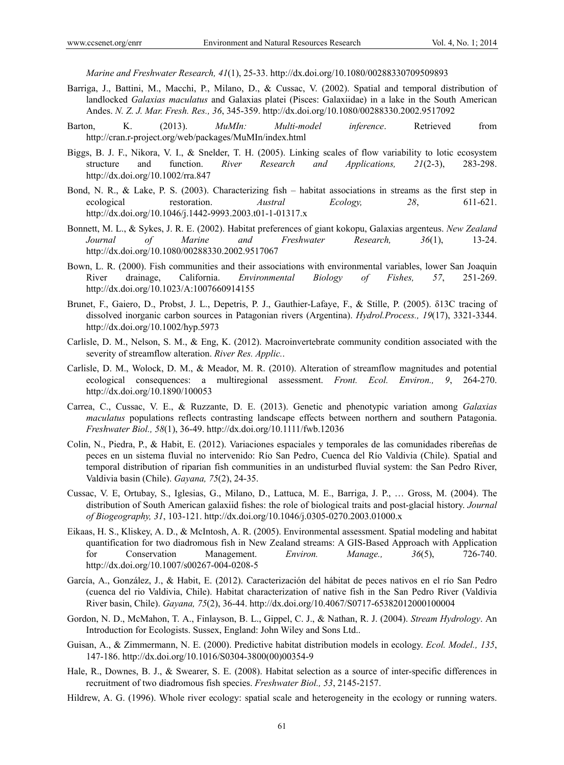*Marine and Freshwater Research, 41*(1), 25-33. http://dx.doi.org/10.1080/00288330709509893

- Barriga, J., Battini, M., Macchi, P., Milano, D., & Cussac, V. (2002). Spatial and temporal distribution of landlocked *Galaxias maculatus* and Galaxias platei (Pisces: Galaxiidae) in a lake in the South American Andes. *N. Z. J. Mar. Fresh. Res., 36*, 345-359. http://dx.doi.org/10.1080/00288330.2002.9517092
- Barton, K. (2013). *MuMIn: Multi-model inference*. Retrieved from http://cran.r-project.org/web/packages/MuMIn/index.html
- Biggs, B. J. F., Nikora, V. I., & Snelder, T. H. (2005). Linking scales of flow variability to lotic ecosystem structure and function. *River Research and Applications, 21*(2-3), 283-298. http://dx.doi.org/10.1002/rra.847
- Bond, N. R., & Lake, P. S. (2003). Characterizing fish habitat associations in streams as the first step in ecological restoration. *Austral Ecology, 28*, 611-621. http://dx.doi.org/10.1046/j.1442-9993.2003.t01-1-01317.x
- Bonnett, M. L., & Sykes, J. R. E. (2002). Habitat preferences of giant kokopu, Galaxias argenteus. *New Zealand Journal of Marine and Freshwater Research, 36*(1), 13-24. http://dx.doi.org/10.1080/00288330.2002.9517067
- Bown, L. R. (2000). Fish communities and their associations with environmental variables, lower San Joaquin River drainage, California. *Environmental Biology of Fishes, 57*, 251-269. http://dx.doi.org/10.1023/A:1007660914155
- Brunet, F., Gaiero, D., Probst, J. L., Depetris, P. J., Gauthier-Lafaye, F., & Stille, P. (2005). δ13C tracing of dissolved inorganic carbon sources in Patagonian rivers (Argentina). *Hydrol.Process., 19*(17), 3321-3344. http://dx.doi.org/10.1002/hyp.5973
- Carlisle, D. M., Nelson, S. M., & Eng, K. (2012). Macroinvertebrate community condition associated with the severity of streamflow alteration. *River Res. Applic.*.
- Carlisle, D. M., Wolock, D. M., & Meador, M. R. (2010). Alteration of streamflow magnitudes and potential ecological consequences: a multiregional assessment. *Front. Ecol. Environ., 9*, 264-270. http://dx.doi.org/10.1890/100053
- Carrea, C., Cussac, V. E., & Ruzzante, D. E. (2013). Genetic and phenotypic variation among *Galaxias maculatus* populations reflects contrasting landscape effects between northern and southern Patagonia. *Freshwater Biol., 58*(1), 36-49. http://dx.doi.org/10.1111/fwb.12036
- Colin, N., Piedra, P., & Habit, E. (2012). Variaciones espaciales y temporales de las comunidades ribereñas de peces en un sistema fluvial no intervenido: Río San Pedro, Cuenca del Río Valdivia (Chile). Spatial and temporal distribution of riparian fish communities in an undisturbed fluvial system: the San Pedro River, Valdivia basin (Chile). *Gayana, 75*(2), 24-35.
- Cussac, V. E, Ortubay, S., Iglesias, G., Milano, D., Lattuca, M. E., Barriga, J. P., … Gross, M. (2004). The distribution of South American galaxiid fishes: the role of biological traits and post-glacial history. *Journal of Biogeography, 31*, 103-121. http://dx.doi.org/10.1046/j.0305-0270.2003.01000.x
- Eikaas, H. S., Kliskey, A. D., & McIntosh, A. R. (2005). Environmental assessment. Spatial modeling and habitat quantification for two diadromous fish in New Zealand streams: A GIS-Based Approach with Application for Conservation Management. *Environ. Manage., 36*(5), 726-740. http://dx.doi.org/10.1007/s00267-004-0208-5
- García, A., González, J., & Habit, E. (2012). Caracterización del hábitat de peces nativos en el río San Pedro (cuenca del rio Valdivia, Chile). Habitat characterization of native fish in the San Pedro River (Valdivia River basin, Chile). *Gayana, 75*(2), 36-44. http://dx.doi.org/10.4067/S0717-65382012000100004
- Gordon, N. D., McMahon, T. A., Finlayson, B. L., Gippel, C. J., & Nathan, R. J. (2004). *Stream Hydrology*. An Introduction for Ecologists. Sussex, England: John Wiley and Sons Ltd..
- Guisan, A., & Zimmermann, N. E. (2000). Predictive habitat distribution models in ecology. *Ecol. Model., 135*, 147-186. http://dx.doi.org/10.1016/S0304-3800(00)00354-9
- Hale, R., Downes, B. J., & Swearer, S. E. (2008). Habitat selection as a source of inter-specific differences in recruitment of two diadromous fish species. *Freshwater Biol., 53*, 2145-2157.
- Hildrew, A. G. (1996). Whole river ecology: spatial scale and heterogeneity in the ecology or running waters.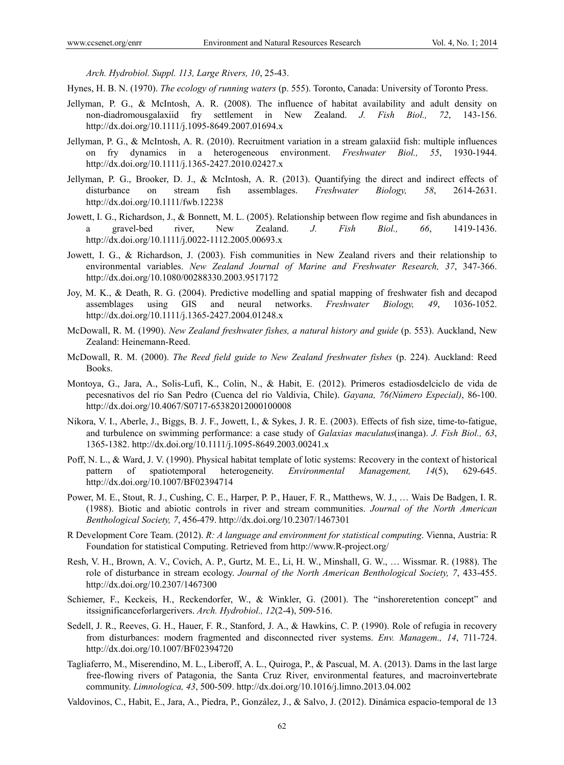*Arch. Hydrobiol. Suppl. 113, Large Rivers, 10*, 25-43.

- Hynes, H. B. N. (1970). *The ecology of running waters* (p. 555). Toronto, Canada: University of Toronto Press.
- Jellyman, P. G., & McIntosh, A. R. (2008). The influence of habitat availability and adult density on non-diadromousgalaxiid fry settlement in New Zealand. *J. Fish Biol., 72*, 143-156. http://dx.doi.org/10.1111/j.1095-8649.2007.01694.x
- Jellyman, P. G., & McIntosh, A. R. (2010). Recruitment variation in a stream galaxiid fish: multiple influences on fry dynamics in a heterogeneous environment. *Freshwater Biol., 55*, 1930-1944. http://dx.doi.org/10.1111/j.1365-2427.2010.02427.x
- Jellyman, P. G., Brooker, D. J., & McIntosh, A. R. (2013). Quantifying the direct and indirect effects of disturbance on stream fish assemblages. *Freshwater Biology, 58*, 2614-2631. http://dx.doi.org/10.1111/fwb.12238
- Jowett, I. G., Richardson, J., & Bonnett, M. L. (2005). Relationship between flow regime and fish abundances in a gravel-bed river, New Zealand. *J. Fish Biol., 66*, 1419-1436. http://dx.doi.org/10.1111/j.0022-1112.2005.00693.x
- Jowett, I. G., & Richardson, J. (2003). Fish communities in New Zealand rivers and their relationship to environmental variables. *New Zealand Journal of Marine and Freshwater Research, 37*, 347-366. http://dx.doi.org/10.1080/00288330.2003.9517172
- Joy, M. K., & Death, R. G. (2004). Predictive modelling and spatial mapping of freshwater fish and decapod assemblages using GIS and neural networks. *Freshwater Biology, 49*, 1036-1052. http://dx.doi.org/10.1111/j.1365-2427.2004.01248.x
- McDowall, R. M. (1990). *New Zealand freshwater fishes, a natural history and guide* (p. 553). Auckland, New Zealand: Heinemann-Reed.
- McDowall, R. M. (2000). *The Reed field guide to New Zealand freshwater fishes* (p. 224). Auckland: Reed Books.
- Montoya, G., Jara, A., Solis-Lufí, K., Colin, N., & Habit, E. (2012). Primeros estadiosdelciclo de vida de pecesnativos del río San Pedro (Cuenca del río Valdivia, Chile). *Gayana, 76(Número Especial)*, 86-100. http://dx.doi.org/10.4067/S0717-65382012000100008
- Nikora, V. I., Aberle, J., Biggs, B. J. F., Jowett, I., & Sykes, J. R. E. (2003). Effects of fish size, time-to-fatigue, and turbulence on swimming performance: a case study of *Galaxias maculatus*(inanga). *J. Fish Biol., 63*, 1365-1382. http://dx.doi.org/10.1111/j.1095-8649.2003.00241.x
- Poff, N. L., & Ward, J. V. (1990). Physical habitat template of lotic systems: Recovery in the context of historical pattern of spatiotemporal heterogeneity. *Environmental Management, 14*(5), 629-645. http://dx.doi.org/10.1007/BF02394714
- Power, M. E., Stout, R. J., Cushing, C. E., Harper, P. P., Hauer, F. R., Matthews, W. J., … Wais De Badgen, I. R. (1988). Biotic and abiotic controls in river and stream communities. *Journal of the North American Benthological Society, 7*, 456-479. http://dx.doi.org/10.2307/1467301
- R Development Core Team. (2012). *R: A language and environment for statistical computing*. Vienna, Austria: R Foundation for statistical Computing. Retrieved from http://www.R-project.org/
- Resh, V. H., Brown, A. V., Covich, A. P., Gurtz, M. E., Li, H. W., Minshall, G. W., … Wissmar. R. (1988). The role of disturbance in stream ecology. *Journal of the North American Benthological Society, 7*, 433-455. http://dx.doi.org/10.2307/1467300
- Schiemer, F., Keckeis, H., Reckendorfer, W., & Winkler, G. (2001). The "inshoreretention concept" and itssignificanceforlargerivers. *Arch. Hydrobiol., 12*(2-4), 509-516.
- Sedell, J. R., Reeves, G. H., Hauer, F. R., Stanford, J. A., & Hawkins, C. P. (1990). Role of refugia in recovery from disturbances: modern fragmented and disconnected river systems. *Env. Managem., 14*, 711-724. http://dx.doi.org/10.1007/BF02394720
- Tagliaferro, M., Miserendino, M. L., Liberoff, A. L., Quiroga, P., & Pascual, M. A. (2013). Dams in the last large free-flowing rivers of Patagonia, the Santa Cruz River, environmental features, and macroinvertebrate community. *Limnologica, 43*, 500-509. http://dx.doi.org/10.1016/j.limno.2013.04.002
- Valdovinos, C., Habit, E., Jara, A., Piedra, P., González, J., & Salvo, J. (2012). Dinámica espacio-temporal de 13